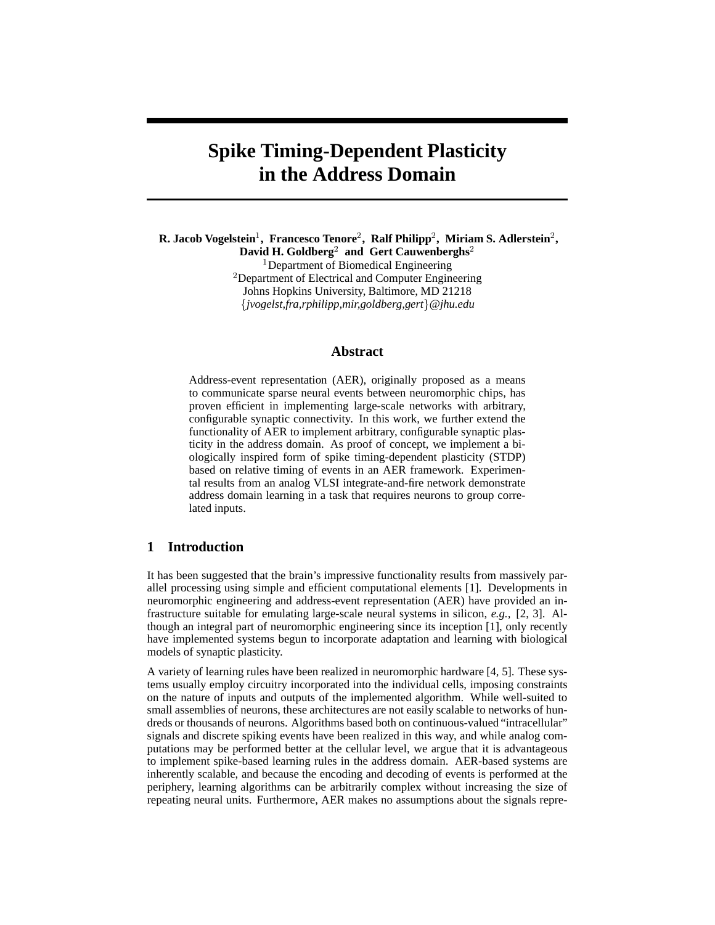# **Spike Timing-Dependent Plasticity in the Address Domain**

**R. Jacob Vogelstein , Francesco Tenore , Ralf Philipp , Miriam S. Adlerstein ,**  $\mathbf{David\ H.\ Goldberg}^{2}\ \ \mathbf{and}\ \ \mathbf{Gert\ Cauwenberghs}^{2}$ 

<sup>1</sup>Department of Biomedical Engineering

 $2$ Department of Electrical and Computer Engineering Johns Hopkins University, Baltimore, MD 21218 - *jvogelst,fra,rphilipp,mir,goldberg,gert @jhu.edu*

#### **Abstract**

Address-event representation (AER), originally proposed as a means to communicate sparse neural events between neuromorphic chips, has proven efficient in implementing large-scale networks with arbitrary, configurable synaptic connectivity. In this work, we further extend the functionality of AER to implement arbitrary, configurable synaptic plasticity in the address domain. As proof of concept, we implement a biologically inspired form of spike timing-dependent plasticity (STDP) based on relative timing of events in an AER framework. Experimental results from an analog VLSI integrate-and-fire network demonstrate address domain learning in a task that requires neurons to group correlated inputs.

# **1 Introduction**

It has been suggested that the brain's impressive functionality results from massively parallel processing using simple and efficient computational elements [1]. Developments in neuromorphic engineering and address-event representation (AER) have provided an infrastructure suitable for emulating large-scale neural systems in silicon, *e.g.,* [2, 3]. Although an integral part of neuromorphic engineering since its inception [1], only recently have implemented systems begun to incorporate adaptation and learning with biological models of synaptic plasticity.

A variety of learning rules have been realized in neuromorphic hardware [4, 5]. These systems usually employ circuitry incorporated into the individual cells, imposing constraints on the nature of inputs and outputs of the implemented algorithm. While well-suited to small assemblies of neurons, these architectures are not easily scalable to networks of hundreds or thousands of neurons. Algorithms based both on continuous-valued "intracellular" signals and discrete spiking events have been realized in this way, and while analog computations may be performed better at the cellular level, we argue that it is advantageous to implement spike-based learning rules in the address domain. AER-based systems are inherently scalable, and because the encoding and decoding of events is performed at the periphery, learning algorithms can be arbitrarily complex without increasing the size of repeating neural units. Furthermore, AER makes no assumptions about the signals repre-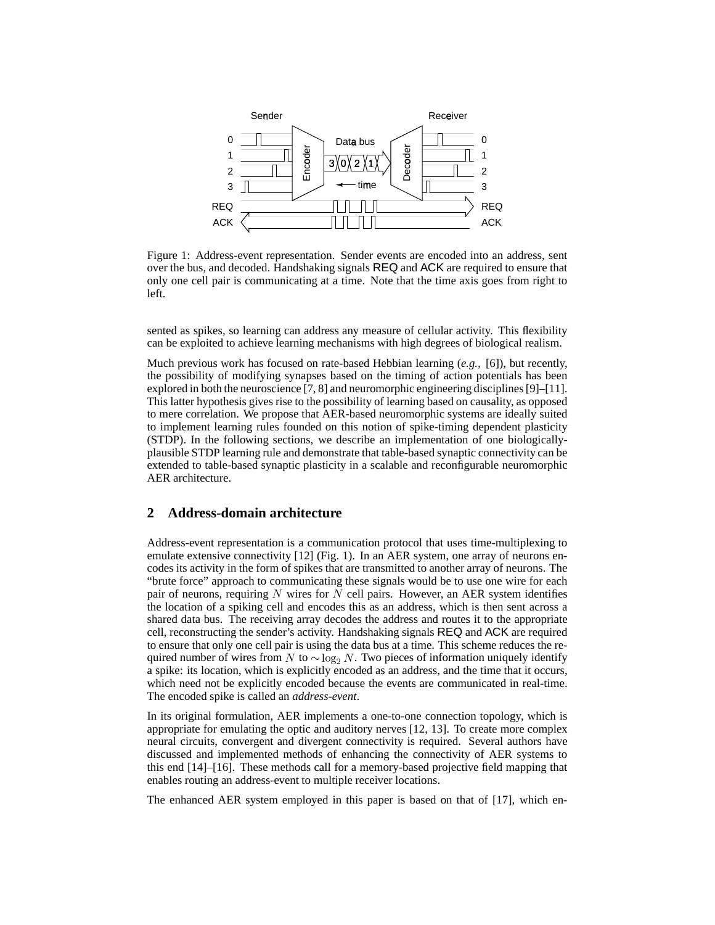

Figure 1: Address-event representation. Sender events are encoded into an address, sent over the bus, and decoded. Handshaking signals REQ and ACK are required to ensure that only one cell pair is communicating at a time. Note that the time axis goes from right to left.

sented as spikes, so learning can address any measure of cellular activity. This flexibility can be exploited to achieve learning mechanisms with high degrees of biological realism.

Much previous work has focused on rate-based Hebbian learning (*e.g.,* [6]), but recently, the possibility of modifying synapses based on the timing of action potentials has been explored in both the neuroscience [7, 8] and neuromorphic engineering disciplines[9]–[11]. This latter hypothesis gives rise to the possibility of learning based on causality, as opposed to mere correlation. We propose that AER-based neuromorphic systems are ideally suited to implement learning rules founded on this notion of spike-timing dependent plasticity (STDP). In the following sections, we describe an implementation of one biologicallyplausibleSTDPlearning rule and demonstrate thattable-based synaptic connectivity can be extended to table-based synaptic plasticity in a scalable and reconfigurable neuromorphic AER architecture.

## **2 Address-domain architecture**

Address-event representation is a communication protocol that uses time-multiplexing to emulate extensive connectivity [12] (Fig. 1). In an AER system, one array of neurons encodes its activity in the form of spikes that are transmitted to another array of neurons. The "brute force" approach to communicating these signals would be to use one wire for each pair of neurons, requiring  $N$  wires for  $N$  cell pairs. However, an AER system identifies the location of a spiking cell and encodes this as an address, which is then sent across a shared data bus. The receiving array decodes the address and routes it to the appropriate cell, reconstructing the sender's activity. Handshaking signals REQ and ACK are required to ensure that only one cell pair is using the data bus at a time. This scheme reduces the required number of wires from N to  $\sim$  log<sub>2</sub> N. Two pieces of information uniquely identify a spike: its location, which is explicitly encoded as an address, and the time that it occurs, which need not be explicitly encoded because the events are communicated in real-time. The encoded spike is called an *address-event*.

In its original formulation, AER implements a one-to-one connection topology, which is appropriate for emulating the optic and auditory nerves [12, 13]. To create more complex neural circuits, convergent and divergent connectivity is required. Several authors have discussed and implemented methods of enhancing the connectivity of AER systems to this end [14]–[16]. These methods call for a memory-based projective field mapping that enables routing an address-event to multiple receiver locations.

The enhanced AER system employed in this paper is based on that of [17], which en-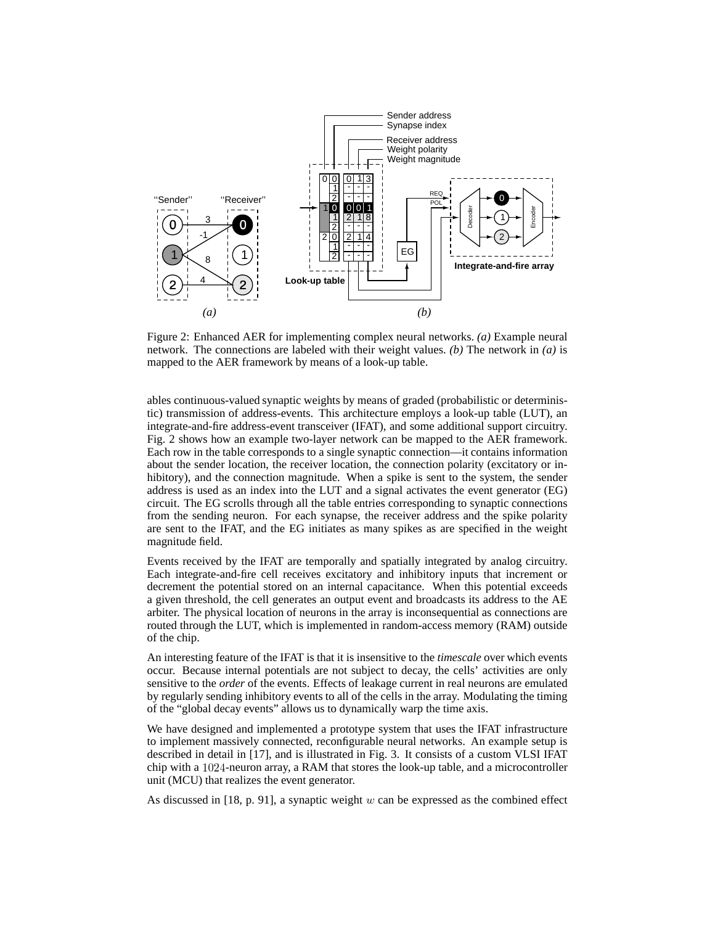

Figure 2: Enhanced AER for implementing complex neural networks. *(a)* Example neural network. The connections are labeled with their weight values. *(b)* The network in *(a)* is mapped to the AER framework by means of a look-up table.

ables continuous-valued synaptic weights by means of graded (probabilistic or deterministic) transmission of address-events. This architecture employs a look-up table (LUT), an integrate-and-fire address-event transceiver (IFAT), and some additional support circuitry. Fig. 2 shows how an example two-layer network can be mapped to the AER framework. Each row in the table corresponds to a single synaptic connection—it contains information about the sender location, the receiver location, the connection polarity (excitatory or inhibitory), and the connection magnitude. When a spike is sent to the system, the sender address is used as an index into the LUT and a signal activates the event generator (EG) circuit. The EG scrolls through all the table entries corresponding to synaptic connections from the sending neuron. For each synapse, the receiver address and the spike polarity are sent to the IFAT, and the EG initiates as many spikes as are specified in the weight magnitude field.

Events received by the IFAT are temporally and spatially integrated by analog circuitry. Each integrate-and-fire cell receives excitatory and inhibitory inputs that increment or decrement the potential stored on an internal capacitance. When this potential exceeds a given threshold, the cell generates an output event and broadcasts its address to the AE arbiter. The physical location of neurons in the array is inconsequential as connections are routed through the LUT, which is implemented in random-access memory (RAM) outside of the chip.

An interesting feature of the IFAT is that it is insensitive to the *timescale* over which events occur. Because internal potentials are not subject to decay, the cells' activities are only sensitive to the *order* of the events. Effects of leakage current in real neurons are emulated by regularly sending inhibitory events to all of the cells in the array. Modulating the timing of the "global decay events" allows us to dynamically warp the time axis.

We have designed and implemented a prototype system that uses the IFAT infrastructure to implement massively connected, reconfigurable neural networks. An example setup is described in detail in [17], and is illustrated in Fig. 3. It consists of a custom VLSI IFAT chip with a  $1024$ -neuron array, a RAM that stores the look-up table, and a microcontroller unit (MCU) that realizes the event generator.

As discussed in [18, p. 91], a synaptic weight  $w$  can be expressed as the combined effect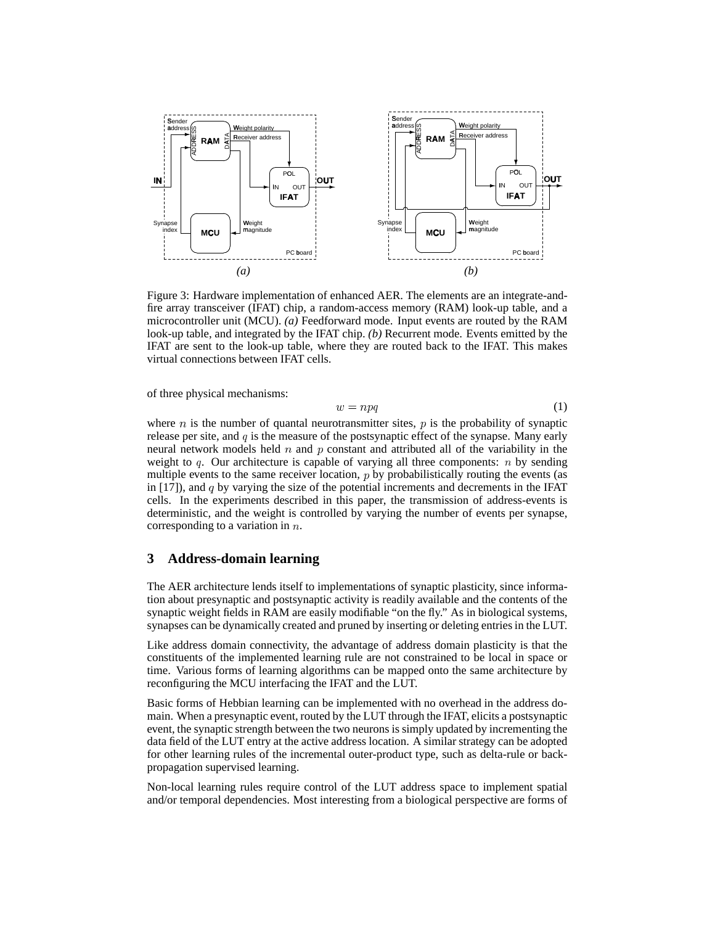

Figure 3: Hardware implementation of enhanced AER. The elements are an integrate-andfire array transceiver (IFAT) chip, a random-access memory (RAM) look-up table, and a microcontroller unit (MCU). *(a)* Feedforward mode. Input events are routed by the RAM look-up table, and integrated by the IFAT chip. *(b)* Recurrent mode. Events emitted by the IFAT are sent to the look-up table, where they are routed back to the IFAT. This makes virtual connections between IFAT cells.

of three physical mechanisms:

$$
w = npq \tag{1}
$$

where  $n$  is the number of quantal neurotransmitter sites,  $p$  is the probability of synaptic release per site, and  $q$  is the measure of the postsynaptic effect of the synapse. Many early neural network models held  $n$  and  $p$  constant and attributed all of the variability in the weight to  $q$ . Our architecture is capable of varying all three components:  $n$  by sending multiple events to the same receiver location,  $p$  by probabilistically routing the events (as in  $[17]$ ), and q by varying the size of the potential increments and decrements in the IFAT cells. In the experiments described in this paper, the transmission of address-events is deterministic, and the weight is controlled by varying the number of events per synapse, corresponding to a variation in  $n$ .

# **3 Address-domain learning**

The AER architecture lends itself to implementations of synaptic plasticity, since information about presynaptic and postsynaptic activity is readily available and the contents of the synaptic weight fields in RAM are easily modifiable "on the fly." As in biological systems, synapses can be dynamically created and pruned by inserting or deleting entriesin the LUT.

Like address domain connectivity, the advantage of address domain plasticity is that the constituents of the implemented learning rule are not constrained to be local in space or time. Various forms of learning algorithms can be mapped onto the same architecture by reconfiguring the MCU interfacing the IFAT and the LUT.

Basic forms of Hebbian learning can be implemented with no overhead in the address domain. When a presynaptic event, routed by the LUT through the IFAT, elicits a postsynaptic event, the synaptic strength between the two neurons is simply updated by incrementing the data field of the LUT entry at the active address location. A similar strategy can be adopted for other learning rules of the incremental outer-product type, such as delta-rule or backpropagation supervised learning.

Non-local learning rules require control of the LUT address space to implement spatial and/or temporal dependencies. Most interesting from a biological perspective are forms of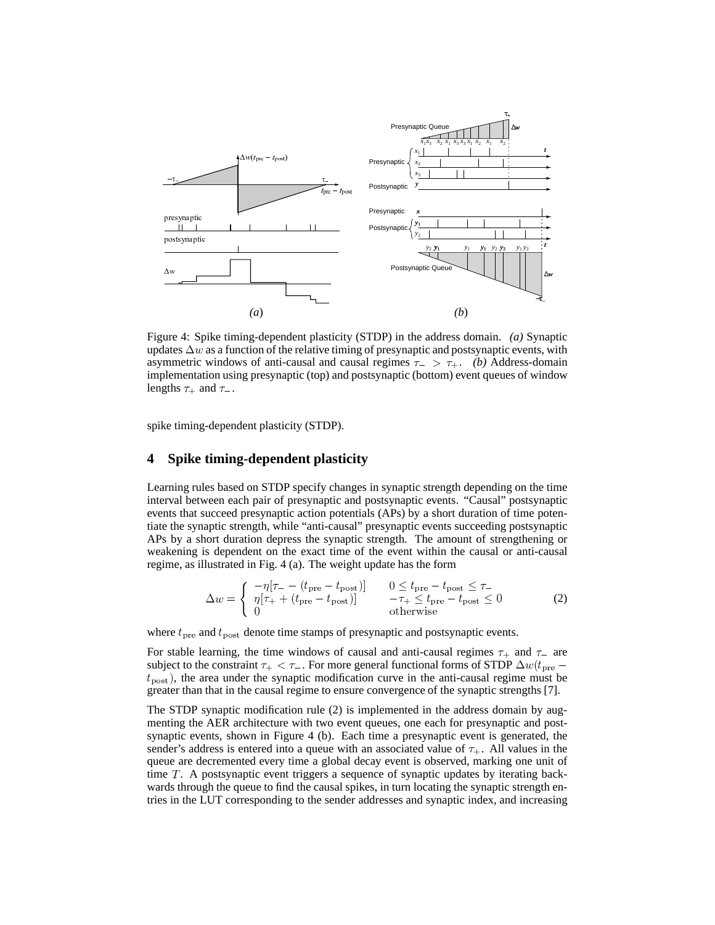

Figure 4: Spike timing-dependent plasticity (STDP) in the address domain. *(a)* Synaptic updates  $\Delta w$  as a function of the relative timing of presynaptic and postsynaptic events, with asymmetric windows of anti-causal and causal regimes  $\tau_{-} > \tau_{+}$ . *(b)* Address-domain implementation using presynaptic (top) and postsynaptic (bottom) event queues of window lengths  $\tau_+$  and  $\tau_-$ .

spike timing-dependent plasticity (STDP).

#### **4 Spike timing-dependent plasticity**

Learning rules based on STDP specify changes in synaptic strength depending on the time interval between each pair of presynaptic and postsynaptic events. "Causal" postsynaptic events that succeed presynaptic action potentials (APs) by a short duration of time potentiate the synaptic strength, while "anti-causal" presynaptic events succeeding postsynaptic APs by a short duration depress the synaptic strength. The amount of strengthening or weakening is dependent on the exact time of the event within the causal or anti-causal regime, as illustrated in Fig. 4 (a). The weight update has the form

$$
\Delta w = \begin{cases}\n-\eta[\tau_{-} - (t_{\text{pre}} - t_{\text{post}})] & 0 \le t_{\text{pre}} - t_{\text{post}} \le \tau_{-} \\
\eta[\tau_{+} + (t_{\text{pre}} - t_{\text{post}})] & -\tau_{+} \le t_{\text{pre}} - t_{\text{post}} \le 0 \\
0 & \text{otherwise}\n\end{cases}
$$
\n(2)

where  $t_{\text{pre}}$  and  $t_{\text{post}}$  denote time stamps of presynaptic and postsynaptic events.

For stable learning, the time windows of causal and anti-causal regimes  $\tau_{+}$  and  $\tau_{-}$  are subject to the constraint  $\tau_{+} < \tau_{-}$ . For more general functional forms of STDP  $\Delta w(t_{\text{pre}}$  $t_{\text{post}}$ ), the area under the synaptic modification curve in the anti-causal regime must be greater than that in the causal regime to ensure convergence of the synaptic strengths [7].

The STDP synaptic modification rule (2) is implemented in the address domain by augmenting the AER architecture with two event queues, one each for presynaptic and postsynaptic events, shown in Figure 4 (b). Each time a presynaptic event is generated, the sender's address is entered into a queue with an associated value of  $\tau_{+}$ . All values in the queue are decremented every time a global decay event is observed, marking one unit of time  $T$ . A postsynaptic event triggers a sequence of synaptic updates by iterating backwards through the queue to find the causal spikes, in turn locating the synaptic strength entries in the LUT corresponding to the sender addresses and synaptic index, and increasing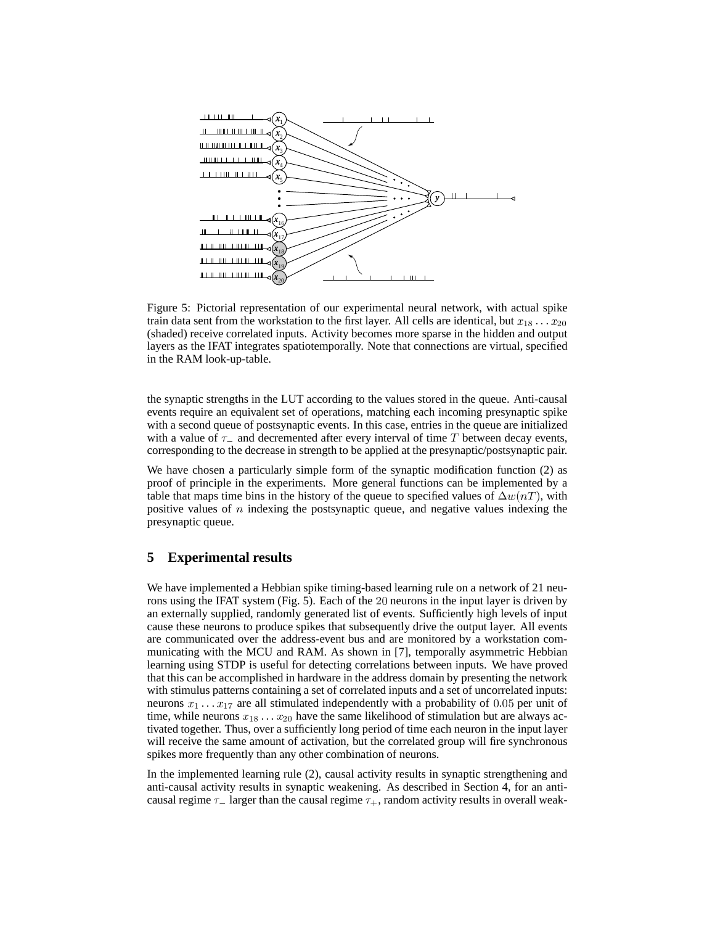

Figure 5: Pictorial representation of our experimental neural network, with actual spike train data sent from the workstation to the first layer. All cells are identical, but  $x_{18} \ldots x_{20}$ (shaded) receive correlated inputs. Activity becomes more sparse in the hidden and output layers as the IFAT integrates spatiotemporally. Note that connections are virtual, specified in the RAM look-up-table.

the synaptic strengths in the LUT according to the values stored in the queue. Anti-causal events require an equivalent set of operations, matching each incoming presynaptic spike with a second queue of postsynaptic events. In this case, entries in the queue are initialized with a value of  $\tau_{-}$  and decremented after every interval of time T between decay events, corresponding to the decrease in strength to be applied at the presynaptic/postsynaptic pair.

We have chosen a particularly simple form of the synaptic modification function (2) as proof of principle in the experiments. More general functions can be implemented by a table that maps time bins in the history of the queue to specified values of  $\Delta w(nT)$ , with positive values of  $n$  indexing the postsynaptic queue, and negative values indexing the presynaptic queue.

#### **5 Experimental results**

We have implemented a Hebbian spike timing-based learning rule on a network of 21 neurons using the IFAT system (Fig. 5). Each of the 20 neurons in the input layer is driven by an externally supplied, randomly generated list of events. Sufficiently high levels of input cause these neurons to produce spikes that subsequently drive the output layer. All events are communicated over the address-event bus and are monitored by a workstation communicating with the MCU and RAM. As shown in [7], temporally asymmetric Hebbian learning using STDP is useful for detecting correlations between inputs. We have proved that this can be accomplished in hardware in the address domain by presenting the network with stimulus patterns containing a set of correlated inputs and a set of uncorrelated inputs: neurons  $x_1 \ldots x_{17}$  are all stimulated independently with a probability of 0.05 per unit of time, while neurons  $x_{18} \ldots x_{20}$  have the same likelihood of stimulation but are always activated together. Thus, over a sufficiently long period of time each neuron in the input layer will receive the same amount of activation, but the correlated group will fire synchronous spikes more frequently than any other combination of neurons.

In the implemented learning rule (2), causal activity results in synaptic strengthening and anti-causal activity results in synaptic weakening. As described in Section 4, for an anticausal regime  $\tau_{-}$  larger than the causal regime  $\tau_{+}$ , random activity results in overall weak-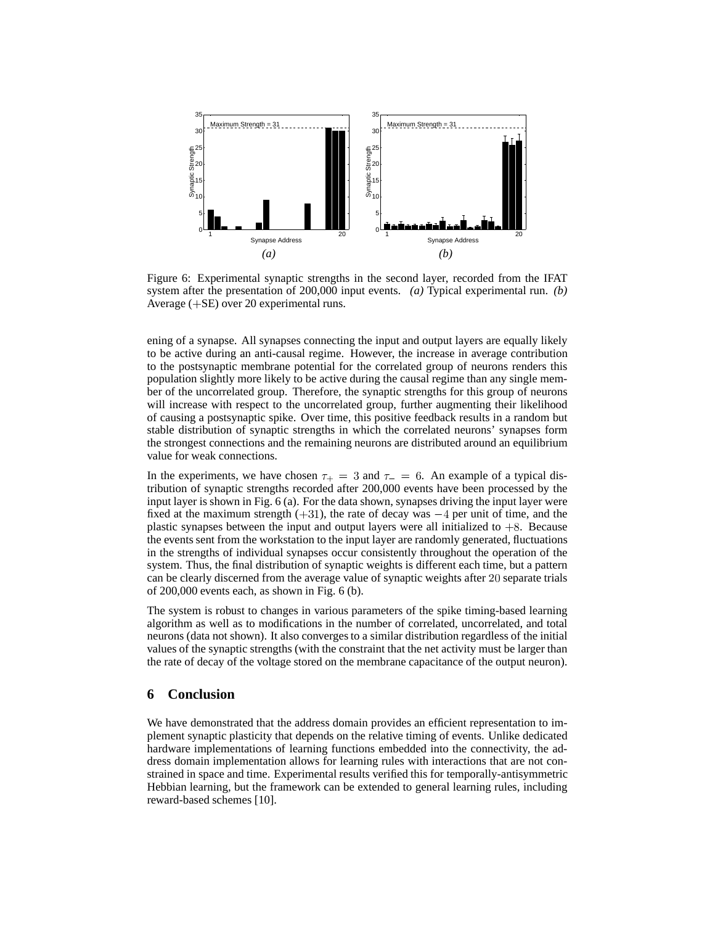

Figure 6: Experimental synaptic strengths in the second layer, recorded from the IFAT system after the presentation of 200,000 input events. *(a)* Typical experimental run. *(b)* Average  $(+SE)$  over 20 experimental runs.

ening of a synapse. All synapses connecting the input and output layers are equally likely to be active during an anti-causal regime. However, the increase in average contribution to the postsynaptic membrane potential for the correlated group of neurons renders this population slightly more likely to be active during the causal regime than any single member of the uncorrelated group. Therefore, the synaptic strengths for this group of neurons will increase with respect to the uncorrelated group, further augmenting their likelihood of causing a postsynaptic spike. Over time, this positive feedback results in a random but stable distribution of synaptic strengths in which the correlated neurons' synapses form the strongest connections and the remaining neurons are distributed around an equilibrium value for weak connections.

In the experiments, we have chosen  $\tau_{+} = 3$  and  $\tau_{-} = 6$ . An example of a typical distribution of synaptic strengths recorded after 200,000 events have been processed by the input layer is shown in Fig. 6 (a). For the data shown, synapses driving the input layer were fixed at the maximum strength  $(+31)$ , the rate of decay was  $-4$  per unit of time, and the plastic synapses between the input and output layers were all initialized to  $+8$ . Because the events sent from the workstation to the input layer are randomly generated, fluctuations in the strengths of individual synapses occur consistently throughout the operation of the system. Thus, the final distribution of synaptic weights is different each time, but a pattern can be clearly discerned from the average value of synaptic weights after 20 separate trials of 200,000 events each, as shown in Fig. 6 (b).

The system is robust to changes in various parameters of the spike timing-based learning algorithm as well as to modifications in the number of correlated, uncorrelated, and total neurons (data not shown). It also convergesto a similar distribution regardless of the initial values of the synaptic strengths (with the constraint that the net activity must be larger than the rate of decay of the voltage stored on the membrane capacitance of the output neuron).

# **6 Conclusion**

We have demonstrated that the address domain provides an efficient representation to implement synaptic plasticity that depends on the relative timing of events. Unlike dedicated hardware implementations of learning functions embedded into the connectivity, the address domain implementation allows for learning rules with interactions that are not constrained in space and time. Experimental results verified this for temporally-antisymmetric Hebbian learning, but the framework can be extended to general learning rules, including reward-based schemes [10].